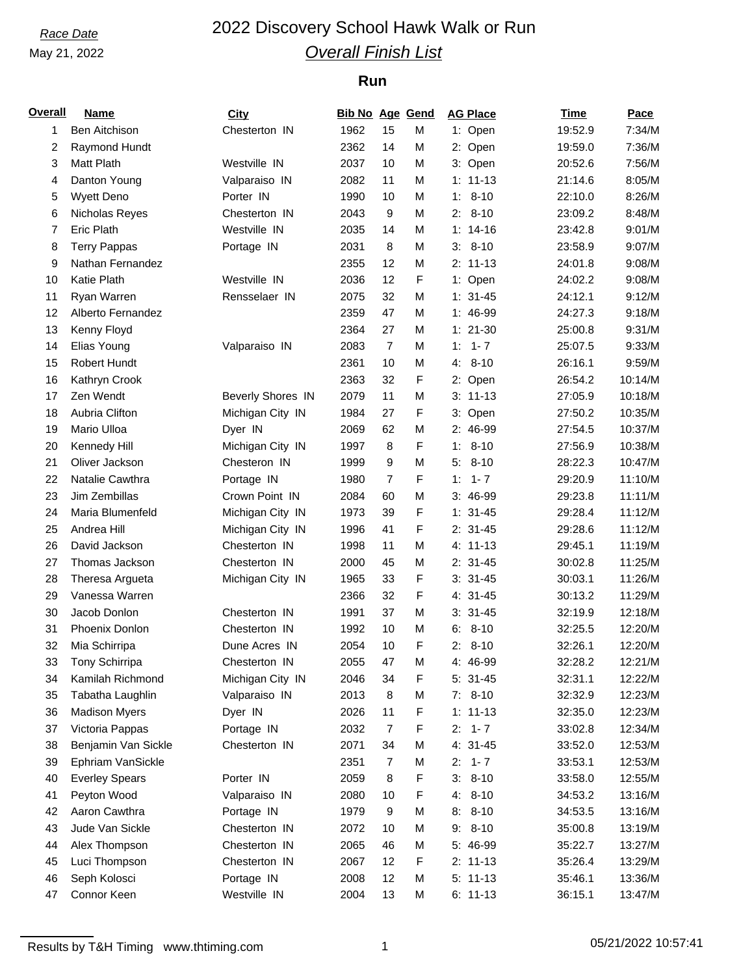## May 21, 2022

## *Race Date* 2022 Discovery School Hawk Walk or Run *Overall Finish List*

### **Run**

| <b>Overall</b> | <b>Name</b>           | <b>City</b>              | Bib No Age Gend |                |   | <b>AG Place</b> | <u>Time</u> | Pace    |
|----------------|-----------------------|--------------------------|-----------------|----------------|---|-----------------|-------------|---------|
| 1              | <b>Ben Aitchison</b>  | Chesterton IN            | 1962            | 15             | M | 1: Open         | 19:52.9     | 7:34/M  |
| 2              | Raymond Hundt         |                          | 2362            | 14             | M | 2: Open         | 19:59.0     | 7:36/M  |
| 3              | <b>Matt Plath</b>     | Westville IN             | 2037            | 10             | M | 3: Open         | 20:52.6     | 7:56/M  |
| 4              | Danton Young          | Valparaiso IN            | 2082            | 11             | М | $1: 11 - 13$    | 21:14.6     | 8:05/M  |
| 5              | <b>Wyett Deno</b>     | Porter IN                | 1990            | 10             | M | $1: 8-10$       | 22:10.0     | 8:26/M  |
| 6              | Nicholas Reyes        | Chesterton IN            | 2043            | 9              | M | $2: 8-10$       | 23:09.2     | 8:48/M  |
| 7              | <b>Eric Plath</b>     | Westville IN             | 2035            | 14             | M | $1: 14-16$      | 23:42.8     | 9:01/M  |
| 8              | <b>Terry Pappas</b>   | Portage IN               | 2031            | 8              | M | $8 - 10$<br>3:  | 23:58.9     | 9:07/M  |
| 9              | Nathan Fernandez      |                          | 2355            | 12             | M | $2: 11-13$      | 24:01.8     | 9:08/M  |
| 10             | Katie Plath           | Westville IN             | 2036            | 12             | F | 1: Open         | 24:02.2     | 9:08/M  |
| 11             | Ryan Warren           | Rensselaer IN            | 2075            | 32             | M | $1: 31 - 45$    | 24:12.1     | 9:12/M  |
| 12             | Alberto Fernandez     |                          | 2359            | 47             | M | 1: 46-99        | 24:27.3     | 9:18/M  |
| 13             | Kenny Floyd           |                          | 2364            | 27             | M | $1: 21-30$      | 25:00.8     | 9:31/M  |
| 14             | Elias Young           | Valparaiso IN            | 2083            | $\overline{7}$ | M | $1: 1 - 7$      | 25:07.5     | 9:33/M  |
| 15             | Robert Hundt          |                          | 2361            | 10             | M | $4: 8-10$       | 26:16.1     | 9:59/M  |
| 16             | Kathryn Crook         |                          | 2363            | 32             | F | 2: Open         | 26:54.2     | 10:14/M |
| 17             | Zen Wendt             | <b>Beverly Shores IN</b> | 2079            | 11             | M | $3: 11-13$      | 27:05.9     | 10:18/M |
| 18             | Aubria Clifton        | Michigan City IN         | 1984            | 27             | F | 3: Open         | 27:50.2     | 10:35/M |
| 19             | Mario Ulloa           | Dyer IN                  | 2069            | 62             | M | 2: 46-99        | 27:54.5     | 10:37/M |
| 20             | Kennedy Hill          | Michigan City IN         | 1997            | 8              | F | $8 - 10$<br>1:  | 27:56.9     | 10:38/M |
| 21             | Oliver Jackson        | Chesteron IN             | 1999            | 9              | M | $8 - 10$<br>5:  | 28:22.3     | 10:47/M |
| 22             | Natalie Cawthra       | Portage IN               | 1980            | $\overline{7}$ | F | $1: 1 - 7$      | 29:20.9     | 11:10/M |
| 23             | Jim Zembillas         | Crown Point IN           | 2084            | 60             | M | $3:46-99$       | 29:23.8     | 11:11/M |
| 24             | Maria Blumenfeld      | Michigan City IN         | 1973            | 39             | F | $1: 31 - 45$    | 29:28.4     | 11:12/M |
| 25             | Andrea Hill           | Michigan City IN         | 1996            | 41             | F | $2: 31 - 45$    | 29:28.6     | 11:12/M |
| 26             | David Jackson         | Chesterton IN            | 1998            | 11             | M | 4: 11-13        | 29:45.1     | 11:19/M |
| 27             | Thomas Jackson        | Chesterton IN            | 2000            | 45             | M | $2: 31-45$      | 30:02.8     | 11:25/M |
| 28             | Theresa Argueta       | Michigan City IN         | 1965            | 33             | F | $3: 31 - 45$    | 30:03.1     | 11:26/M |
| 29             | Vanessa Warren        |                          | 2366            | 32             | F | $4:31-45$       | 30:13.2     | 11:29/M |
| 30             | Jacob Donlon          | Chesterton IN            | 1991            | 37             | M | $3: 31 - 45$    | 32:19.9     | 12:18/M |
| 31             | Phoenix Donlon        | Chesterton IN            | 1992            | 10             | M | $6: 8-10$       | 32:25.5     | 12:20/M |
| 32             | Mia Schirripa         | Dune Acres IN            | 2054            | 10             | F | $2: 8-10$       | 32:26.1     | 12:20/M |
| 33             | Tony Schirripa        | Chesterton IN            | 2055            | 47             | М | 4: 46-99        | 32:28.2     | 12:21/M |
| 34             | Kamilah Richmond      | Michigan City IN         | 2046            | 34             | F | $5: 31-45$      | 32:31.1     | 12:22/M |
| 35             | Tabatha Laughlin      | Valparaiso IN            | 2013            | 8              | M | $7: 8-10$       | 32:32.9     | 12:23/M |
| 36             | <b>Madison Myers</b>  | Dyer IN                  | 2026            | 11             | F | $1: 11 - 13$    | 32:35.0     | 12:23/M |
| 37             | Victoria Pappas       | Portage IN               | 2032            | 7              | F | $2: 1 - 7$      | 33:02.8     | 12:34/M |
| 38             | Benjamin Van Sickle   | Chesterton IN            | 2071            | 34             | M | 4: 31-45        | 33:52.0     | 12:53/M |
|                | Ephriam VanSickle     |                          | 2351            | 7              |   | $2: 1 - 7$      |             | 12:53/M |
| 39             |                       |                          |                 |                | M |                 | 33:53.1     |         |
| 40             | <b>Everley Spears</b> | Porter IN                | 2059            | 8              | F | $8 - 10$<br>3:  | 33:58.0     | 12:55/M |
| 41             | Peyton Wood           | Valparaiso IN            | 2080            | 10             | F | $8 - 10$<br>4.  | 34:53.2     | 13:16/M |
| 42             | Aaron Cawthra         | Portage IN               | 1979            | 9              | M | $8: 8-10$       | 34:53.5     | 13:16/M |
| 43             | Jude Van Sickle       | Chesterton IN            | 2072            | 10             | M | $9: 8-10$       | 35:00.8     | 13:19/M |
| 44             | Alex Thompson         | Chesterton IN            | 2065            | 46             | M | 5: 46-99        | 35:22.7     | 13:27/M |
| 45             | Luci Thompson         | Chesterton IN            | 2067            | 12             | F | $2: 11-13$      | 35:26.4     | 13:29/M |
| 46             | Seph Kolosci          | Portage IN               | 2008            | 12             | M | $5: 11-13$      | 35:46.1     | 13:36/M |
| 47             | Connor Keen           | Westville IN             | 2004            | 13             | М | $6: 11-13$      | 36:15.1     | 13:47/M |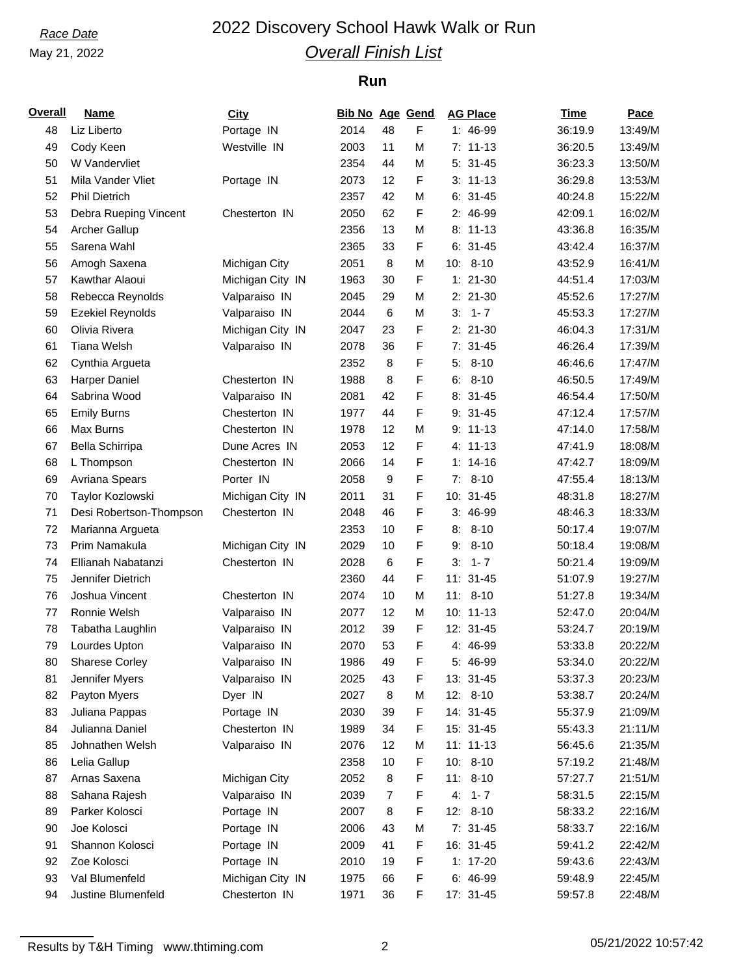## May 21, 2022

## *Race Date* 2022 Discovery School Hawk Walk or Run *Overall Finish List*

### **Run**

| Overall | <b>Name</b>                       | <b>City</b>      | <b>Bib No Age Gend</b> |    |   | <b>AG Place</b> | Time    | Pace    |
|---------|-----------------------------------|------------------|------------------------|----|---|-----------------|---------|---------|
| 48      | Liz Liberto                       | Portage IN       | 2014                   | 48 | F | $1:46-99$       | 36:19.9 | 13:49/M |
| 49      | Cody Keen                         | Westville IN     | 2003                   | 11 | M | $7: 11-13$      | 36:20.5 | 13:49/M |
| 50      | W Vandervliet                     |                  | 2354                   | 44 | M | $5: 31-45$      | 36:23.3 | 13:50/M |
| 51      | Mila Vander Vliet                 | Portage IN       | 2073                   | 12 | F | $3: 11-13$      | 36:29.8 | 13:53/M |
| 52      | <b>Phil Dietrich</b>              |                  | 2357                   | 42 | M | $6:31-45$       | 40:24.8 | 15:22/M |
| 53      | Debra Rueping Vincent             | Chesterton IN    | 2050                   | 62 | F | 2: 46-99        | 42:09.1 | 16:02/M |
| 54      | <b>Archer Gallup</b>              |                  | 2356                   | 13 | М | $8: 11-13$      | 43:36.8 | 16:35/M |
| 55      | Sarena Wahl                       |                  | 2365                   | 33 | F | $6:31-45$       | 43:42.4 | 16:37/M |
| 56      | Amogh Saxena                      | Michigan City    | 2051                   | 8  | M | $10: 8-10$      | 43:52.9 | 16:41/M |
| 57      | Kawthar Alaoui                    | Michigan City IN | 1963                   | 30 | F | $1: 21-30$      | 44:51.4 | 17:03/M |
| 58      | Rebecca Reynolds                  | Valparaiso IN    | 2045                   | 29 | М | $2: 21-30$      | 45:52.6 | 17:27/M |
| 59      | <b>Ezekiel Reynolds</b>           | Valparaiso IN    | 2044                   | 6  | M | $3: 1 - 7$      | 45:53.3 | 17:27/M |
| 60      | Olivia Rivera                     | Michigan City IN | 2047                   | 23 | F | $2: 21-30$      | 46:04.3 | 17:31/M |
| 61      | <b>Tiana Welsh</b>                | Valparaiso IN    | 2078                   | 36 | F | $7: 31-45$      | 46:26.4 | 17:39/M |
| 62      | Cynthia Argueta                   |                  | 2352                   | 8  | F | $5: 8-10$       | 46:46.6 | 17:47/M |
| 63      | <b>Harper Daniel</b>              | Chesterton IN    | 1988                   | 8  | F | $6: 8-10$       | 46:50.5 | 17:49/M |
| 64      | Sabrina Wood                      | Valparaiso IN    | 2081                   | 42 | F | $8:31-45$       | 46:54.4 | 17:50/M |
| 65      | <b>Emily Burns</b>                | Chesterton IN    | 1977                   | 44 | F | $9: 31-45$      | 47:12.4 | 17:57/M |
| 66      | Max Burns                         | Chesterton IN    | 1978                   | 12 | М | $9: 11-13$      | 47:14.0 | 17:58/M |
| 67      | Bella Schirripa                   | Dune Acres IN    | 2053                   | 12 | F | 4: 11-13        | 47:41.9 | 18:08/M |
| 68      | L Thompson                        | Chesterton IN    | 2066                   | 14 | F | $1: 14-16$      | 47:42.7 | 18:09/M |
| 69      | Avriana Spears                    | Porter IN        | 2058                   | 9  | F | $7: 8-10$       | 47:55.4 | 18:13/M |
| 70      | Taylor Kozlowski                  | Michigan City IN | 2011                   | 31 | F | 10: 31-45       | 48:31.8 | 18:27/M |
| 71      | Desi Robertson-Thompson           | Chesterton IN    | 2048                   | 46 | F | 3: 46-99        | 48:46.3 | 18:33/M |
|         |                                   |                  |                        | 10 | F | $8: 8-10$       | 50:17.4 | 19:07/M |
| 72      | Marianna Argueta<br>Prim Namakula |                  | 2353                   |    |   | $9: 8-10$       |         | 19:08/M |
| 73      |                                   | Michigan City IN | 2029                   | 10 | F |                 | 50:18.4 |         |
| 74      | Ellianah Nabatanzi                | Chesterton IN    | 2028                   | 6  | F | $3: 1 - 7$      | 50:21.4 | 19:09/M |
| 75      | Jennifer Dietrich                 |                  | 2360                   | 44 | F | $11: 31 - 45$   | 51:07.9 | 19:27/M |
| 76      | Joshua Vincent                    | Chesterton IN    | 2074                   | 10 | M | $11: 8-10$      | 51:27.8 | 19:34/M |
| 77      | Ronnie Welsh                      | Valparaiso IN    | 2077                   | 12 | M | $10: 11-13$     | 52:47.0 | 20:04/M |
| 78      | Tabatha Laughlin                  | Valparaiso IN    | 2012                   | 39 | F | 12: 31-45       | 53:24.7 | 20:19/M |
| 79      | Lourdes Upton                     | Valparaiso IN    | 2070                   | 53 | F | 4: 46-99        | 53:33.8 | 20:22/M |
| 80      | Sharese Corley                    | Valparaiso IN    | 1986                   | 49 | F | 5: 46-99        | 53:34.0 | 20:22/M |
| 81      | Jennifer Myers                    | Valparaiso IN    | 2025                   | 43 | F | 13: 31-45       | 53:37.3 | 20:23/M |
| 82      | Payton Myers                      | Dyer IN          | 2027                   | 8  | М | 12: 8-10        | 53:38.7 | 20:24/M |
| 83      | Juliana Pappas                    | Portage IN       | 2030                   | 39 | F | 14: 31-45       | 55:37.9 | 21:09/M |
| 84      | Julianna Daniel                   | Chesterton IN    | 1989                   | 34 | F | 15: 31-45       | 55:43.3 | 21:11/M |
| 85      | Johnathen Welsh                   | Valparaiso IN    | 2076                   | 12 | М | $11: 11-13$     | 56:45.6 | 21:35/M |
| 86      | Lelia Gallup                      |                  | 2358                   | 10 | F | $10: 8-10$      | 57:19.2 | 21:48/M |
| 87      | Arnas Saxena                      | Michigan City    | 2052                   | 8  | F | $11: 8-10$      | 57:27.7 | 21:51/M |
| 88      | Sahana Rajesh                     | Valparaiso IN    | 2039                   | 7  | F | $4: 1 - 7$      | 58:31.5 | 22:15/M |
| 89      | Parker Kolosci                    | Portage IN       | 2007                   | 8  | F | $12: 8-10$      | 58:33.2 | 22:16/M |
| 90      | Joe Kolosci                       | Portage IN       | 2006                   | 43 | М | $7:31-45$       | 58:33.7 | 22:16/M |
| 91      | Shannon Kolosci                   | Portage IN       | 2009                   | 41 | F | 16: 31-45       | 59:41.2 | 22:42/M |
| 92      | Zoe Kolosci                       | Portage IN       | 2010                   | 19 | F | $1: 17-20$      | 59:43.6 | 22:43/M |
| 93      | Val Blumenfeld                    | Michigan City IN | 1975                   | 66 | F | 6: 46-99        | 59:48.9 | 22:45/M |
| 94      | Justine Blumenfeld                | Chesterton IN    | 1971                   | 36 | F | 17: 31-45       | 59:57.8 | 22:48/M |

Results by T&H Timing www.thtiming.com 2 2 05/21/2022 10:57:42